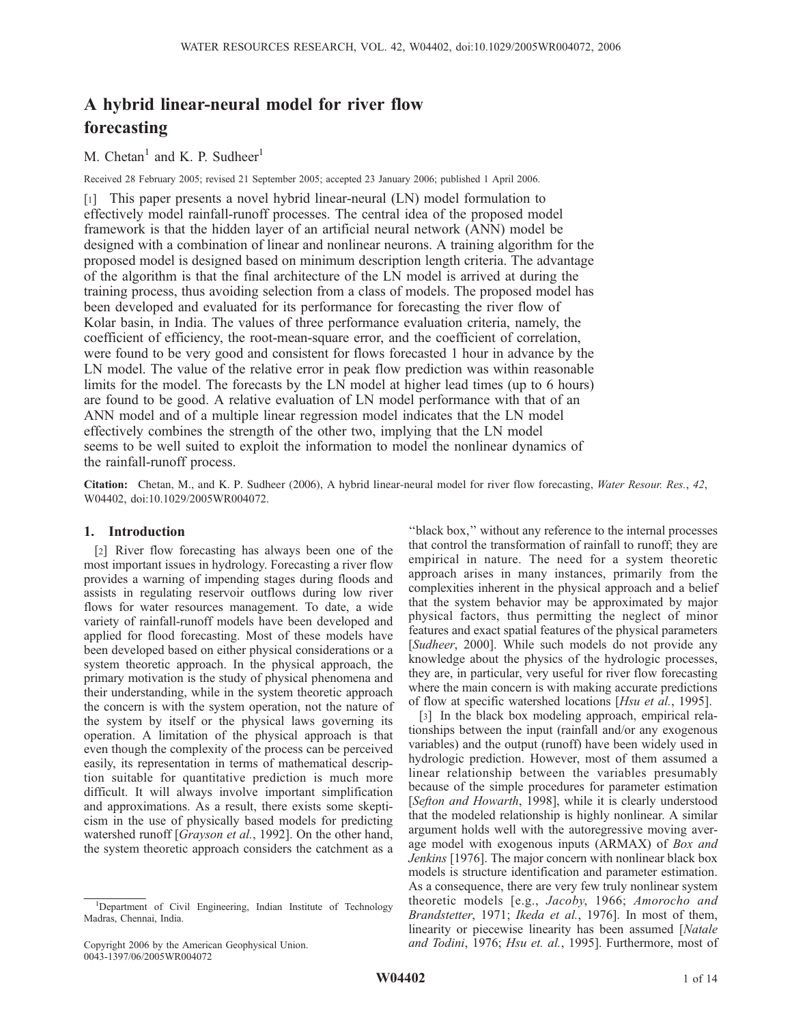# A hybrid linear-neural model for river flow forecasting

# M. Chetan<sup>1</sup> and K. P. Sudheer<sup>1</sup>

Received 28 February 2005; revised 21 September 2005; accepted 23 January 2006; published 1 April 2006.

[1] This paper presents a novel hybrid linear-neural (LN) model formulation to effectively model rainfall-runoff processes. The central idea of the proposed model framework is that the hidden layer of an artificial neural network (ANN) model be designed with a combination of linear and nonlinear neurons. A training algorithm for the proposed model is designed based on minimum description length criteria. The advantage of the algorithm is that the final architecture of the LN model is arrived at during the training process, thus avoiding selection from a class of models. The proposed model has been developed and evaluated for its performance for forecasting the river flow of Kolar basin, in India. The values of three performance evaluation criteria, namely, the coefficient of efficiency, the root-mean-square error, and the coefficient of correlation, were found to be very good and consistent for flows forecasted 1 hour in advance by the LN model. The value of the relative error in peak flow prediction was within reasonable limits for the model. The forecasts by the LN model at higher lead times (up to 6 hours) are found to be good. A relative evaluation of LN model performance with that of an ANN model and of a multiple linear regression model indicates that the LN model effectively combines the strength of the other two, implying that the LN model seems to be well suited to exploit the information to model the nonlinear dynamics of the rainfall-runoff process.

Citation: Chetan, M., and K. P. Sudheer (2006), A hybrid linear-neural model for river flow forecasting, Water Resour. Res., 42, W04402, doi:10.1029/2005WR004072.

# 1. Introduction

[2] River flow forecasting has always been one of the most important issues in hydrology. Forecasting a river flow provides a warning of impending stages during floods and assists in regulating reservoir outflows during low river flows for water resources management. To date, a wide variety of rainfall-runoff models have been developed and applied for flood forecasting. Most of these models have been developed based on either physical considerations or a system theoretic approach. In the physical approach, the primary motivation is the study of physical phenomena and their understanding, while in the system theoretic approach the concern is with the system operation, not the nature of the system by itself or the physical laws governing its operation. A limitation of the physical approach is that even though the complexity of the process can be perceived easily, its representation in terms of mathematical description suitable for quantitative prediction is much more difficult. It will always involve important simplification and approximations. As a result, there exists some skepticism in the use of physically based models for predicting watershed runoff [*Grayson et al.*, 1992]. On the other hand, the system theoretic approach considers the catchment as a ''black box,'' without any reference to the internal processes that control the transformation of rainfall to runoff; they are empirical in nature. The need for a system theoretic approach arises in many instances, primarily from the complexities inherent in the physical approach and a belief that the system behavior may be approximated by major physical factors, thus permitting the neglect of minor features and exact spatial features of the physical parameters [*Sudheer*, 2000]. While such models do not provide any knowledge about the physics of the hydrologic processes, they are, in particular, very useful for river flow forecasting where the main concern is with making accurate predictions of flow at specific watershed locations [Hsu et al., 1995].

[3] In the black box modeling approach, empirical relationships between the input (rainfall and/or any exogenous variables) and the output (runoff) have been widely used in hydrologic prediction. However, most of them assumed a linear relationship between the variables presumably because of the simple procedures for parameter estimation [Sefton and Howarth, 1998], while it is clearly understood that the modeled relationship is highly nonlinear. A similar argument holds well with the autoregressive moving average model with exogenous inputs (ARMAX) of Box and Jenkins [1976]. The major concern with nonlinear black box models is structure identification and parameter estimation. As a consequence, there are very few truly nonlinear system theoretic models [e.g., Jacoby, 1966; Amorocho and Brandstetter, 1971; Ikeda et al., 1976]. In most of them, linearity or piecewise linearity has been assumed [Natale and Todini, 1976; Hsu et. al., 1995]. Furthermore, most of

<sup>&</sup>lt;sup>1</sup>Department of Civil Engineering, Indian Institute of Technology Madras, Chennai, India.

Copyright 2006 by the American Geophysical Union. 0043-1397/06/2005WR004072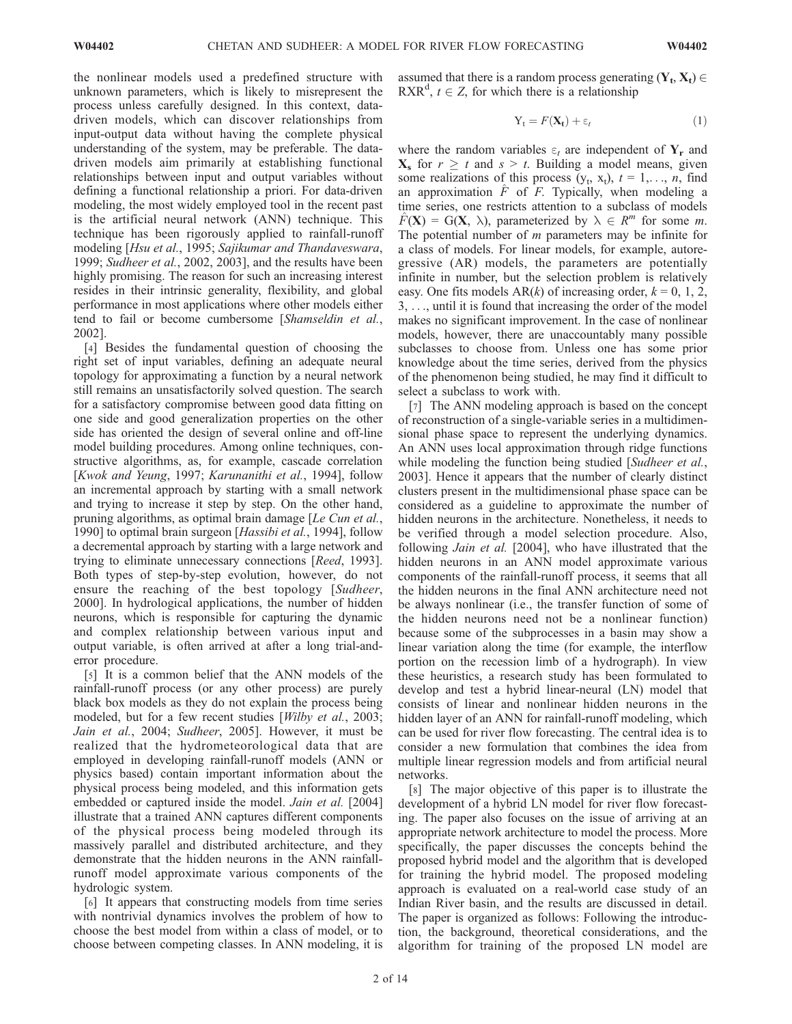the nonlinear models used a predefined structure with unknown parameters, which is likely to misrepresent the process unless carefully designed. In this context, datadriven models, which can discover relationships from input-output data without having the complete physical understanding of the system, may be preferable. The datadriven models aim primarily at establishing functional relationships between input and output variables without defining a functional relationship a priori. For data-driven modeling, the most widely employed tool in the recent past is the artificial neural network (ANN) technique. This technique has been rigorously applied to rainfall-runoff modeling [Hsu et al., 1995; Sajikumar and Thandaveswara, 1999; Sudheer et al., 2002, 2003], and the results have been highly promising. The reason for such an increasing interest resides in their intrinsic generality, flexibility, and global performance in most applications where other models either tend to fail or become cumbersome [Shamseldin et al., 2002].

[4] Besides the fundamental question of choosing the right set of input variables, defining an adequate neural topology for approximating a function by a neural network still remains an unsatisfactorily solved question. The search for a satisfactory compromise between good data fitting on one side and good generalization properties on the other side has oriented the design of several online and off-line model building procedures. Among online techniques, constructive algorithms, as, for example, cascade correlation [Kwok and Yeung, 1997; Karunanithi et al., 1994], follow an incremental approach by starting with a small network and trying to increase it step by step. On the other hand, pruning algorithms, as optimal brain damage [Le Cun et al., 1990] to optimal brain surgeon [Hassibi et al., 1994], follow a decremental approach by starting with a large network and trying to eliminate unnecessary connections [Reed, 1993]. Both types of step-by-step evolution, however, do not ensure the reaching of the best topology [Sudheer, 2000]. In hydrological applications, the number of hidden neurons, which is responsible for capturing the dynamic and complex relationship between various input and output variable, is often arrived at after a long trial-anderror procedure.

[5] It is a common belief that the ANN models of the rainfall-runoff process (or any other process) are purely black box models as they do not explain the process being modeled, but for a few recent studies [Wilby et al., 2003; Jain et al., 2004; Sudheer, 2005]. However, it must be realized that the hydrometeorological data that are employed in developing rainfall-runoff models (ANN or physics based) contain important information about the physical process being modeled, and this information gets embedded or captured inside the model. Jain et al. [2004] illustrate that a trained ANN captures different components of the physical process being modeled through its massively parallel and distributed architecture, and they demonstrate that the hidden neurons in the ANN rainfallrunoff model approximate various components of the hydrologic system.

[6] It appears that constructing models from time series with nontrivial dynamics involves the problem of how to choose the best model from within a class of model, or to choose between competing classes. In ANN modeling, it is

assumed that there is a random process generating  $(Y_t, X_t) \in$ RXR<sup>d</sup>,  $t \in Z$ , for which there is a relationship

$$
Y_t = F(X_t) + \varepsilon_t \tag{1}
$$

where the random variables  $\varepsilon_t$  are independent of  $Y_r$  and  $X_s$  for  $r \geq t$  and  $s > t$ . Building a model means, given some realizations of this process  $(y_t, x_t)$ ,  $t = 1,..., n$ , find an approximation  $\hat{F}$  of F. Typically, when modeling a time series, one restricts attention to a subclass of models  $\hat{F}(\mathbf{X}) = G(\mathbf{X}, \lambda)$ , parameterized by  $\lambda \in R^m$  for some m. The potential number of  *parameters may be infinite for* a class of models. For linear models, for example, autoregressive (AR) models, the parameters are potentially infinite in number, but the selection problem is relatively easy. One fits models  $AR(k)$  of increasing order,  $k = 0, 1, 2,$ 3, ..., until it is found that increasing the order of the model makes no significant improvement. In the case of nonlinear models, however, there are unaccountably many possible subclasses to choose from. Unless one has some prior knowledge about the time series, derived from the physics of the phenomenon being studied, he may find it difficult to select a subclass to work with.

[7] The ANN modeling approach is based on the concept of reconstruction of a single-variable series in a multidimensional phase space to represent the underlying dynamics. An ANN uses local approximation through ridge functions while modeling the function being studied [Sudheer et al., 2003]. Hence it appears that the number of clearly distinct clusters present in the multidimensional phase space can be considered as a guideline to approximate the number of hidden neurons in the architecture. Nonetheless, it needs to be verified through a model selection procedure. Also, following *Jain et al.* [2004], who have illustrated that the hidden neurons in an ANN model approximate various components of the rainfall-runoff process, it seems that all the hidden neurons in the final ANN architecture need not be always nonlinear (i.e., the transfer function of some of the hidden neurons need not be a nonlinear function) because some of the subprocesses in a basin may show a linear variation along the time (for example, the interflow portion on the recession limb of a hydrograph). In view these heuristics, a research study has been formulated to develop and test a hybrid linear-neural (LN) model that consists of linear and nonlinear hidden neurons in the hidden layer of an ANN for rainfall-runoff modeling, which can be used for river flow forecasting. The central idea is to consider a new formulation that combines the idea from multiple linear regression models and from artificial neural networks.

[8] The major objective of this paper is to illustrate the development of a hybrid LN model for river flow forecasting. The paper also focuses on the issue of arriving at an appropriate network architecture to model the process. More specifically, the paper discusses the concepts behind the proposed hybrid model and the algorithm that is developed for training the hybrid model. The proposed modeling approach is evaluated on a real-world case study of an Indian River basin, and the results are discussed in detail. The paper is organized as follows: Following the introduction, the background, theoretical considerations, and the algorithm for training of the proposed LN model are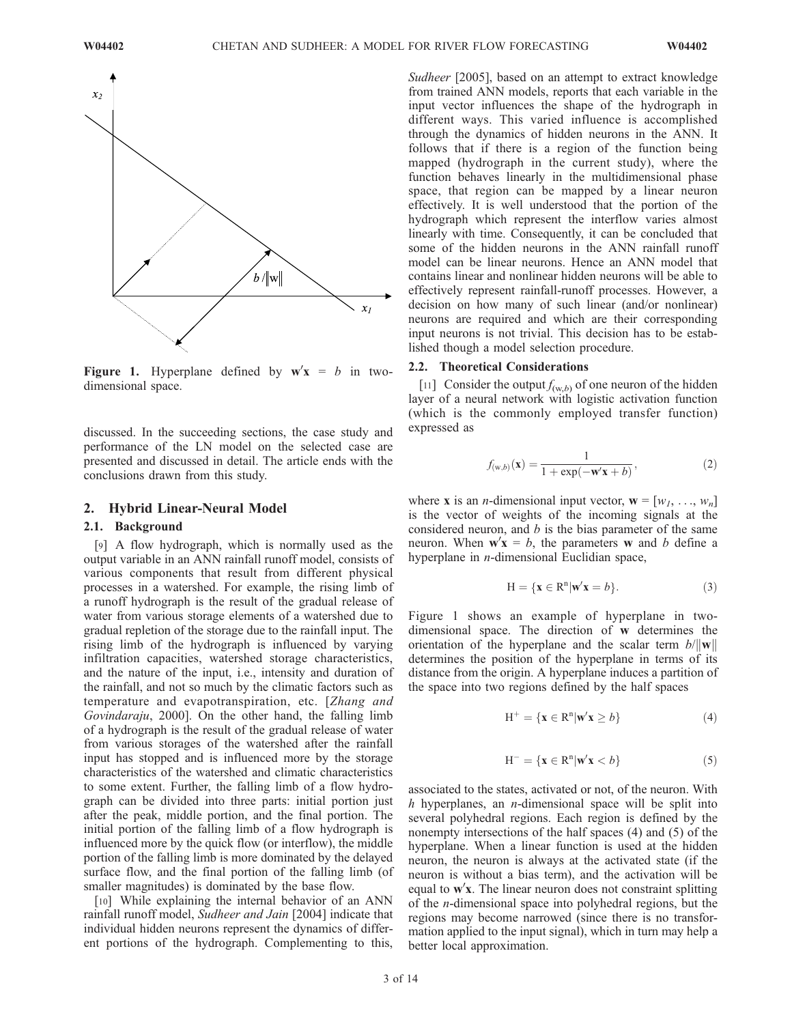

Figure 1. Hyperplane defined by  $w'x = b$  in twodimensional space.

discussed. In the succeeding sections, the case study and performance of the LN model on the selected case are presented and discussed in detail. The article ends with the conclusions drawn from this study.

### 2. Hybrid Linear-Neural Model

#### 2.1. Background

[9] A flow hydrograph, which is normally used as the output variable in an ANN rainfall runoff model, consists of various components that result from different physical processes in a watershed. For example, the rising limb of a runoff hydrograph is the result of the gradual release of water from various storage elements of a watershed due to gradual repletion of the storage due to the rainfall input. The rising limb of the hydrograph is influenced by varying infiltration capacities, watershed storage characteristics, and the nature of the input, i.e., intensity and duration of the rainfall, and not so much by the climatic factors such as temperature and evapotranspiration, etc. [Zhang and Govindaraju, 2000]. On the other hand, the falling limb of a hydrograph is the result of the gradual release of water from various storages of the watershed after the rainfall input has stopped and is influenced more by the storage characteristics of the watershed and climatic characteristics to some extent. Further, the falling limb of a flow hydrograph can be divided into three parts: initial portion just after the peak, middle portion, and the final portion. The initial portion of the falling limb of a flow hydrograph is influenced more by the quick flow (or interflow), the middle portion of the falling limb is more dominated by the delayed surface flow, and the final portion of the falling limb (of smaller magnitudes) is dominated by the base flow.

[10] While explaining the internal behavior of an ANN rainfall runoff model, Sudheer and Jain [2004] indicate that individual hidden neurons represent the dynamics of different portions of the hydrograph. Complementing to this, Sudheer [2005], based on an attempt to extract knowledge from trained ANN models, reports that each variable in the input vector influences the shape of the hydrograph in different ways. This varied influence is accomplished through the dynamics of hidden neurons in the ANN. It follows that if there is a region of the function being mapped (hydrograph in the current study), where the function behaves linearly in the multidimensional phase space, that region can be mapped by a linear neuron effectively. It is well understood that the portion of the hydrograph which represent the interflow varies almost linearly with time. Consequently, it can be concluded that some of the hidden neurons in the ANN rainfall runoff model can be linear neurons. Hence an ANN model that contains linear and nonlinear hidden neurons will be able to effectively represent rainfall-runoff processes. However, a decision on how many of such linear (and/or nonlinear) neurons are required and which are their corresponding input neurons is not trivial. This decision has to be established though a model selection procedure.

#### 2.2. Theoretical Considerations

[11] Consider the output  $f_{(w,b)}$  of one neuron of the hidden layer of a neural network with logistic activation function (which is the commonly employed transfer function) expressed as

$$
f_{(\mathbf{w},b)}(\mathbf{x}) = \frac{1}{1 + \exp(-\mathbf{w}'\mathbf{x} + b)},
$$
\n(2)

where **x** is an *n*-dimensional input vector,  $\mathbf{w} = [w_1, \dots, w_n]$ is the vector of weights of the incoming signals at the considered neuron, and  $b$  is the bias parameter of the same neuron. When  $\mathbf{w}'\mathbf{x} = b$ , the parameters w and b define a hyperplane in  $n$ -dimensional Euclidian space,

$$
H = \{ \mathbf{x} \in R^n | \mathbf{w}' \mathbf{x} = b \}. \tag{3}
$$

Figure 1 shows an example of hyperplane in twodimensional space. The direction of w determines the orientation of the hyperplane and the scalar term  $b/\Vert w \Vert$ determines the position of the hyperplane in terms of its distance from the origin. A hyperplane induces a partition of the space into two regions defined by the half spaces

$$
\mathbf{H}^+ = \{\mathbf{x} \in \mathbf{R}^n | \mathbf{w}' \mathbf{x} \ge b\}
$$
 (4)

$$
\mathbf{H}^- = \{\mathbf{x} \in \mathbf{R}^n | \mathbf{w}' \mathbf{x} < b\} \tag{5}
$$

associated to the states, activated or not, of the neuron. With  $h$  hyperplanes, an *n*-dimensional space will be split into several polyhedral regions. Each region is defined by the nonempty intersections of the half spaces (4) and (5) of the hyperplane. When a linear function is used at the hidden neuron, the neuron is always at the activated state (if the neuron is without a bias term), and the activation will be equal to w'x. The linear neuron does not constraint splitting of the n-dimensional space into polyhedral regions, but the regions may become narrowed (since there is no transformation applied to the input signal), which in turn may help a better local approximation.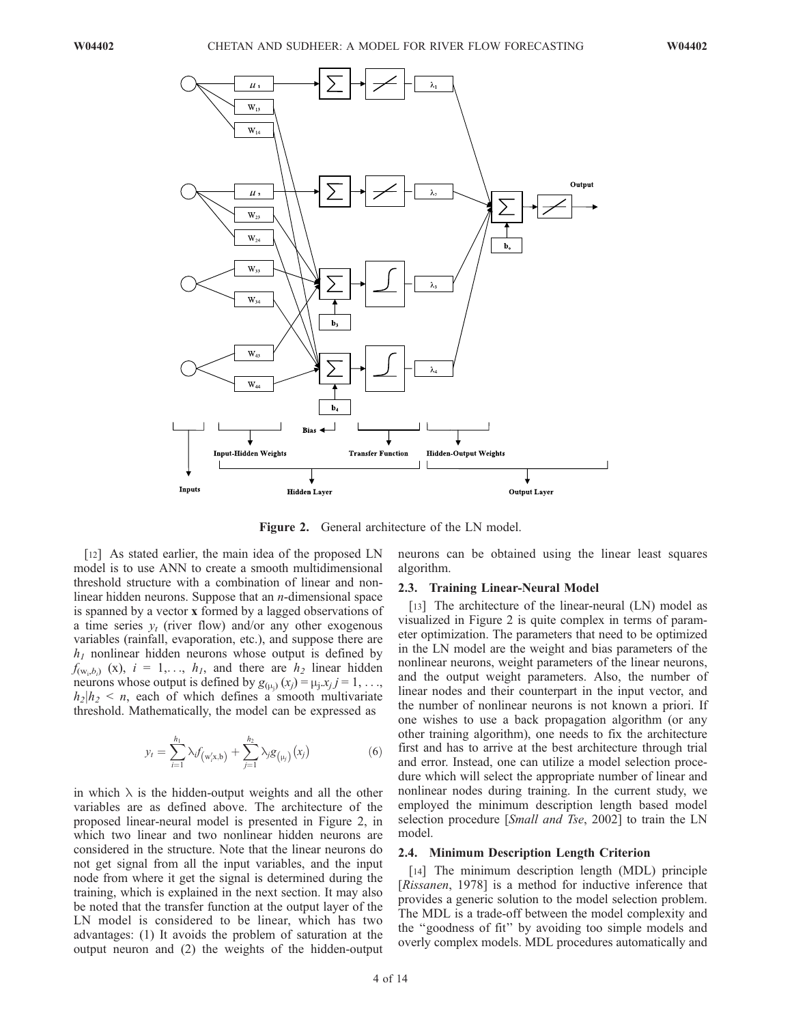

Figure 2. General architecture of the LN model.

[12] As stated earlier, the main idea of the proposed LN model is to use ANN to create a smooth multidimensional threshold structure with a combination of linear and nonlinear hidden neurons. Suppose that an  $n$ -dimensional space is spanned by a vector x formed by a lagged observations of a time series  $y_t$  (river flow) and/or any other exogenous variables (rainfall, evaporation, etc.), and suppose there are  $h_1$  nonlinear hidden neurons whose output is defined by  $f_{(w_i, b_i)}$  (x),  $i = 1, \ldots, h_1$ , and there are  $h_2$  linear hidden neurons whose output is defined by  $g_{(\mu_j)}(x_j) = \mu_j x_j j = 1, ...,$  $h_2|h_2 \leq n$ , each of which defines a smooth multivariate threshold. Mathematically, the model can be expressed as

$$
y_t = \sum_{i=1}^{h_1} \lambda_i f_{(w'_i x, b)} + \sum_{j=1}^{h_2} \lambda_j g_{(\mu_j)}(x_j)
$$
(6)

in which  $\lambda$  is the hidden-output weights and all the other variables are as defined above. The architecture of the proposed linear-neural model is presented in Figure 2, in which two linear and two nonlinear hidden neurons are considered in the structure. Note that the linear neurons do not get signal from all the input variables, and the input node from where it get the signal is determined during the training, which is explained in the next section. It may also be noted that the transfer function at the output layer of the LN model is considered to be linear, which has two advantages: (1) It avoids the problem of saturation at the output neuron and (2) the weights of the hidden-output

neurons can be obtained using the linear least squares algorithm.

#### 2.3. Training Linear-Neural Model

[13] The architecture of the linear-neural (LN) model as visualized in Figure 2 is quite complex in terms of parameter optimization. The parameters that need to be optimized in the LN model are the weight and bias parameters of the nonlinear neurons, weight parameters of the linear neurons, and the output weight parameters. Also, the number of linear nodes and their counterpart in the input vector, and the number of nonlinear neurons is not known a priori. If one wishes to use a back propagation algorithm (or any other training algorithm), one needs to fix the architecture first and has to arrive at the best architecture through trial and error. Instead, one can utilize a model selection procedure which will select the appropriate number of linear and nonlinear nodes during training. In the current study, we employed the minimum description length based model selection procedure [Small and Tse, 2002] to train the LN model.

### 2.4. Minimum Description Length Criterion

[14] The minimum description length (MDL) principle [Rissanen, 1978] is a method for inductive inference that provides a generic solution to the model selection problem. The MDL is a trade-off between the model complexity and the ''goodness of fit'' by avoiding too simple models and overly complex models. MDL procedures automatically and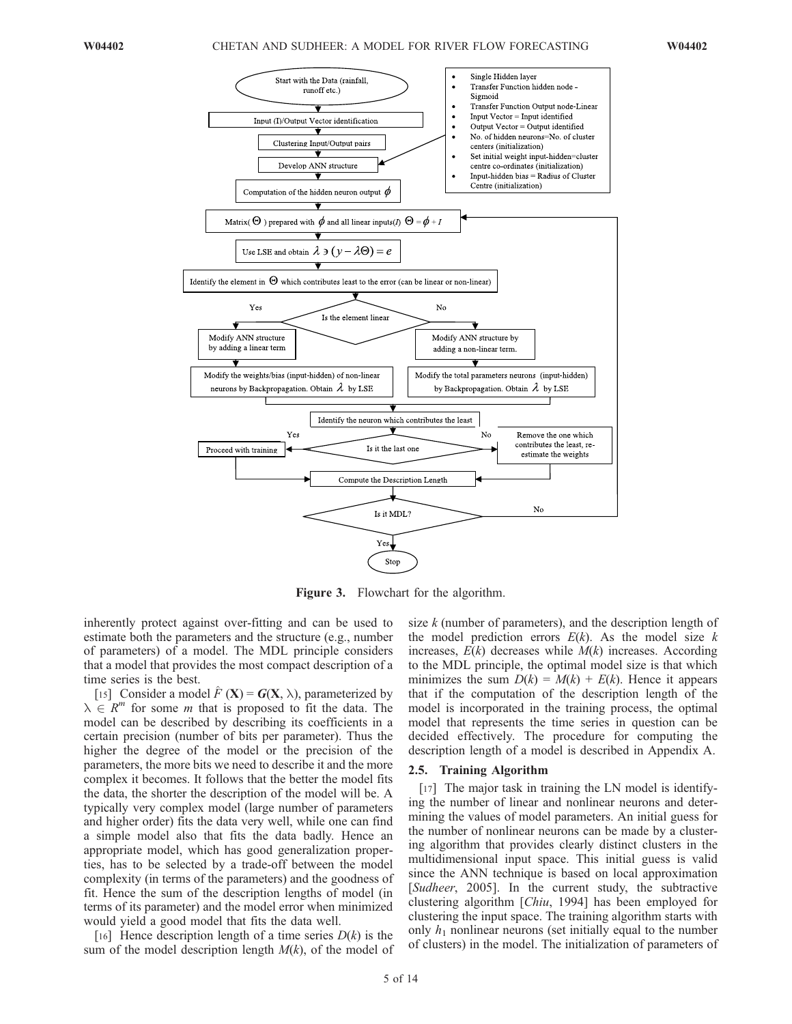

Figure 3. Flowchart for the algorithm.

inherently protect against over-fitting and can be used to estimate both the parameters and the structure (e.g., number of parameters) of a model. The MDL principle considers that a model that provides the most compact description of a time series is the best.

[15] Consider a model  $F({\bf X}) = G({\bf X}, \lambda)$ , parameterized by  $\lambda \in \mathbb{R}^m$  for some *m* that is proposed to fit the data. The model can be described by describing its coefficients in a certain precision (number of bits per parameter). Thus the higher the degree of the model or the precision of the parameters, the more bits we need to describe it and the more complex it becomes. It follows that the better the model fits the data, the shorter the description of the model will be. A typically very complex model (large number of parameters and higher order) fits the data very well, while one can find a simple model also that fits the data badly. Hence an appropriate model, which has good generalization properties, has to be selected by a trade-off between the model complexity (in terms of the parameters) and the goodness of fit. Hence the sum of the description lengths of model (in terms of its parameter) and the model error when minimized would yield a good model that fits the data well.

[16] Hence description length of a time series  $D(k)$  is the sum of the model description length  $M(k)$ , of the model of size  $k$  (number of parameters), and the description length of the model prediction errors  $E(k)$ . As the model size k increases,  $E(k)$  decreases while  $M(k)$  increases. According to the MDL principle, the optimal model size is that which minimizes the sum  $D(k) = M(k) + E(k)$ . Hence it appears that if the computation of the description length of the model is incorporated in the training process, the optimal model that represents the time series in question can be decided effectively. The procedure for computing the description length of a model is described in Appendix A.

#### 2.5. Training Algorithm

[17] The major task in training the LN model is identifying the number of linear and nonlinear neurons and determining the values of model parameters. An initial guess for the number of nonlinear neurons can be made by a clustering algorithm that provides clearly distinct clusters in the multidimensional input space. This initial guess is valid since the ANN technique is based on local approximation [Sudheer, 2005]. In the current study, the subtractive clustering algorithm [Chiu, 1994] has been employed for clustering the input space. The training algorithm starts with only  $h_1$  nonlinear neurons (set initially equal to the number of clusters) in the model. The initialization of parameters of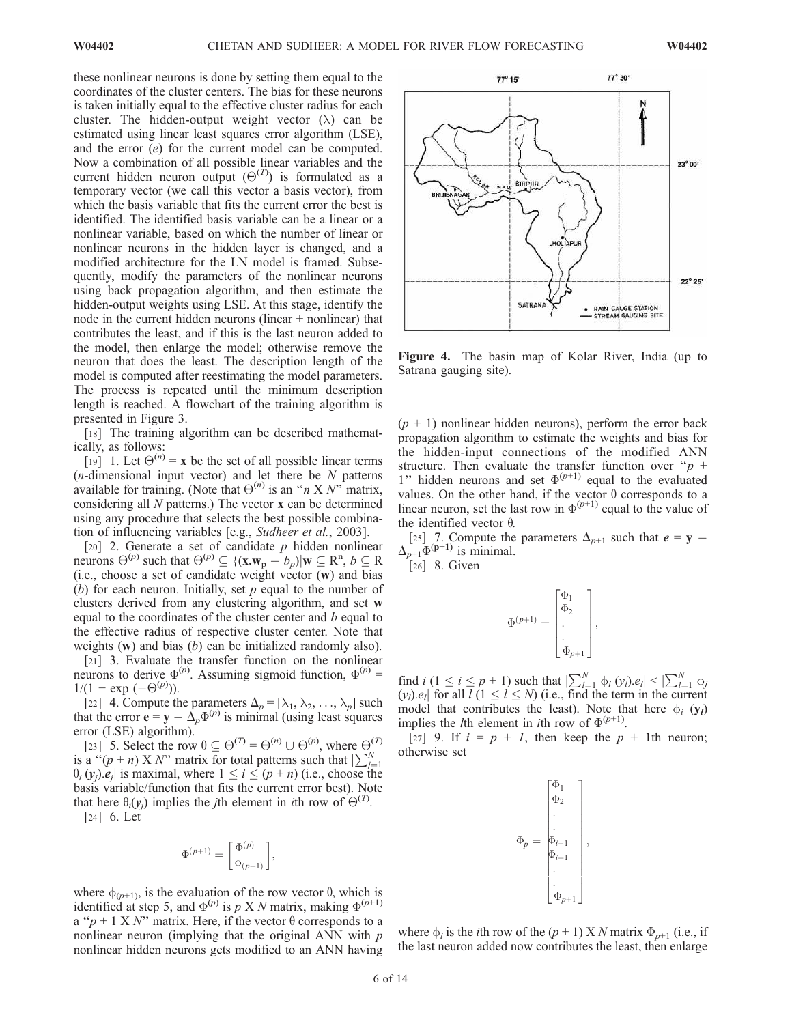these nonlinear neurons is done by setting them equal to the coordinates of the cluster centers. The bias for these neurons is taken initially equal to the effective cluster radius for each cluster. The hidden-output weight vector  $(\lambda)$  can be estimated using linear least squares error algorithm (LSE), and the error (e) for the current model can be computed. Now a combination of all possible linear variables and the current hidden neuron output  $(\Theta^{(T)})$  is formulated as a temporary vector (we call this vector a basis vector), from which the basis variable that fits the current error the best is identified. The identified basis variable can be a linear or a nonlinear variable, based on which the number of linear or nonlinear neurons in the hidden layer is changed, and a modified architecture for the LN model is framed. Subsequently, modify the parameters of the nonlinear neurons using back propagation algorithm, and then estimate the hidden-output weights using LSE. At this stage, identify the node in the current hidden neurons (linear  $+$  nonlinear) that contributes the least, and if this is the last neuron added to the model, then enlarge the model; otherwise remove the neuron that does the least. The description length of the model is computed after reestimating the model parameters. The process is repeated until the minimum description length is reached. A flowchart of the training algorithm is presented in Figure 3.

[18] The training algorithm can be described mathematically, as follows:

[19] 1. Let  $\Theta^{(n)} = \mathbf{x}$  be the set of all possible linear terms ( $n$ -dimensional input vector) and let there be  $N$  patterns available for training. (Note that  $\Theta^{(n)}$  is an "*n* X N" matrix, considering all N patterns.) The vector x can be determined using any procedure that selects the best possible combination of influencing variables [e.g., Sudheer et al., 2003].

[20] 2. Generate a set of candidate  $p$  hidden nonlinear neurons  $\Theta^{(p)}$  such that  $\Theta^{(p)} \subseteq \{(\mathbf{x}.\mathbf{w}_p - b_p)|\mathbf{w} \subseteq \mathbb{R}^n, b \subseteq \mathbb{R}\}$ (i.e., choose a set of candidate weight vector (w) and bias (b) for each neuron. Initially, set  $p$  equal to the number of clusters derived from any clustering algorithm, and set w equal to the coordinates of the cluster center and  $b$  equal to the effective radius of respective cluster center. Note that weights  $(w)$  and bias  $(b)$  can be initialized randomly also).

[21] 3. Evaluate the transfer function on the nonlinear neurons to derive  $\Phi^{(p)}$ . Assuming sigmoid function,  $\Phi^{(p)}$  =  $1/(1 + \exp(-\Theta^{(p)})).$ 

[22] 4. Compute the parameters  $\Delta_p = [\lambda_1, \lambda_2, \ldots, \lambda_p]$  such that the error  $\mathbf{e} = \mathbf{y} - \Delta_p \Phi^{(p)}$  is minimal (using least squares error (LSE) algorithm).

[23] 5. Select the row  $\theta \subseteq \Theta^{(T)} = \Theta^{(n)} \cup \Theta^{(p)}$ , where  $\Theta^{(T)}$ is a " $(p + n)$  X N" matrix for total patterns such that  $\sum_{j=1}^{N}$  $\theta_i(y_j)$ . $e_j$  is maximal, where  $1 \le i \le (p + n)$  (i.e., choose the basis variable/function that fits the current error best). Note that here  $\theta_i(y_j)$  implies the *j*th element in *i*th row of  $\Theta^{(T)}$ .

[24] 6. Let

$$
\Phi^{(p+1)} = \begin{bmatrix} \Phi^{(p)} \\ \phi_{(p+1)} \end{bmatrix},
$$

where  $\phi_{(p+1)}$ , is the evaluation of the row vector  $\theta$ , which is identified at step 5, and  $\Phi^{(p)}$  is p X N matrix, making  $\Phi^{(p+1)}$ a " $p + 1$  X N" matrix. Here, if the vector  $\theta$  corresponds to a nonlinear neuron (implying that the original ANN with  $p$ nonlinear hidden neurons gets modified to an ANN having



Figure 4. The basin map of Kolar River, India (up to Satrana gauging site).

 $(p + 1)$  nonlinear hidden neurons), perform the error back propagation algorithm to estimate the weights and bias for the hidden-input connections of the modified ANN structure. Then evaluate the transfer function over " $p +$ 1" hidden neurons and set  $\Phi^{(p+1)}$  equal to the evaluated values. On the other hand, if the vector  $\theta$  corresponds to a linear neuron, set the last row in  $\Phi^{(p+1)}$  equal to the value of the identified vector  $\theta$ .

[25] 7. Compute the parameters  $\Delta_{p+1}$  such that  $e = y$  –  $\Delta_{p+1} \Phi^{(p+1)}$  is minimal.

[26] 8. Given

$$
\Phi^{(p+1)} = \begin{bmatrix} \Phi_1 \\ \Phi_2 \\ . \\ . \\ \Phi_{p+1} \end{bmatrix},
$$

find  $i$   $(1 \le i \le p + 1)$  such that  $\left| \sum_{l=1}^{N} \phi_i(y_l).e_l \right| \le \left| \sum_{l=1}^{N} \phi_j \right|$  $(y_l).e_l$  for all  $l$  ( $1 \le l \le N$ ) (i.e., find the term in the current model that contributes the least). Note that here  $\phi_i$  (y<sub>l</sub>) implies the *l*th element in *i*th row of  $\Phi^{(p+1)}$ .

[27] 9. If  $i = p + 1$ , then keep the  $p + 1$ th neuron; otherwise set

$$
\Phi_p = \begin{bmatrix} \Phi_1 \\ \Phi_2 \\ \vdots \\ \Phi_{i-1} \\ \Phi_{i+1} \\ \vdots \\ \Phi_{p+1} \end{bmatrix},
$$

where  $\phi_i$  is the *i*th row of the  $(p + 1)$  X N matrix  $\Phi_{p+1}$  (i.e., if the last neuron added now contributes the least, then enlarge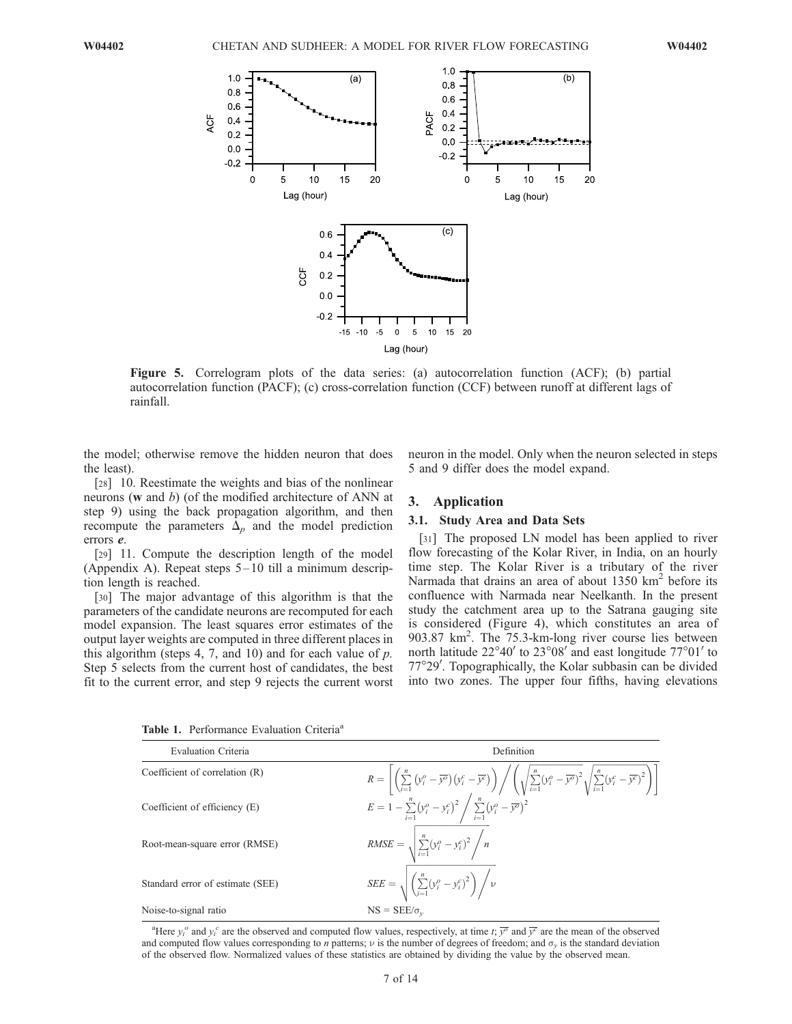

Figure 5. Correlogram plots of the data series: (a) autocorrelation function (ACF); (b) partial autocorrelation function (PACF); (c) cross-correlation function (CCF) between runoff at different lags of rainfall.

the model; otherwise remove the hidden neuron that does the least).

[28] 10. Reestimate the weights and bias of the nonlinear neurons (w and b) (of the modified architecture of ANN at step 9) using the back propagation algorithm, and then recompute the parameters  $\Delta_p$  and the model prediction errors e.

[29] 11. Compute the description length of the model (Appendix A). Repeat steps 5 – 10 till a minimum description length is reached.

[30] The major advantage of this algorithm is that the parameters of the candidate neurons are recomputed for each model expansion. The least squares error estimates of the output layer weights are computed in three different places in this algorithm (steps 4, 7, and 10) and for each value of  $p$ . Step 5 selects from the current host of candidates, the best fit to the current error, and step 9 rejects the current worst neuron in the model. Only when the neuron selected in steps 5 and 9 differ does the model expand.

### 3. Application

#### 3.1. Study Area and Data Sets

[31] The proposed LN model has been applied to river flow forecasting of the Kolar River, in India, on an hourly time step. The Kolar River is a tributary of the river Narmada that drains an area of about 1350 km<sup>2</sup> before its confluence with Narmada near Neelkanth. In the present study the catchment area up to the Satrana gauging site is considered (Figure 4), which constitutes an area of 903.87 km<sup>2</sup>. The 75.3-km-long river course lies between north latitude  $22^{\circ}40'$  to  $23^{\circ}08'$  and east longitude  $77^{\circ}01'$  to 77°29'. Topographically, the Kolar subbasin can be divided into two zones. The upper four fifths, having elevations

| Table 1. Performance Evaluation Criteria <sup>a</sup> |  |
|-------------------------------------------------------|--|
|                                                       |  |

| <b>Evaluation Criteria</b>       | Definition                                                                                                                                                                                                                                                                  |
|----------------------------------|-----------------------------------------------------------------------------------------------------------------------------------------------------------------------------------------------------------------------------------------------------------------------------|
| Coefficient of correlation $(R)$ | $R = \left[ \left( \sum_{i=1}^n \left( y_i^o - \overline{y^o} \right) \left( y_i^c - \overline{y^c} \right) \right) \right/ \left( \sqrt{\sum_{i=1}^n \left( y_i^o - \overline{y^o} \right)^2} \sqrt{\sum_{i=1}^n \left( y_i^c - \overline{y^o} \right)^2} \right) \right]$ |
| Coefficient of efficiency (E)    | $E = 1 - \sum_{i=1}^{n} (y_i^o - y_i^c)^2 / \sum_{i=1}^{n} (y_i^o - \overline{y^o})^2$                                                                                                                                                                                      |
| Root-mean-square error (RMSE)    | $RMSE = \sqrt{\sum_{i=1}^{n} (y_i^o - y_i^c)^2} / n$                                                                                                                                                                                                                        |
| Standard error of estimate (SEE) | $\textit{SEE} = \sqrt{\left(\sum_{i=1}^n (y_i^o - y_i^c)^2\right)} / \nu$                                                                                                                                                                                                   |
| Noise-to-signal ratio            | $NS = SEE/\sigma$ .                                                                                                                                                                                                                                                         |

<sup>a</sup>Here  $y_i^o$  and  $y_i^c$  are the observed and computed flow values, respectively, at time t;  $\overline{y^o}$  and  $\overline{y^c}$  are the mean of the observed and computed flow values corresponding to *n* patterns;  $\nu$  is the number of degrees of freedom; and  $\sigma_{\nu}$  is the standard deviation of the observed flow. Normalized values of these statistics are obtained by dividing the value by the observed mean.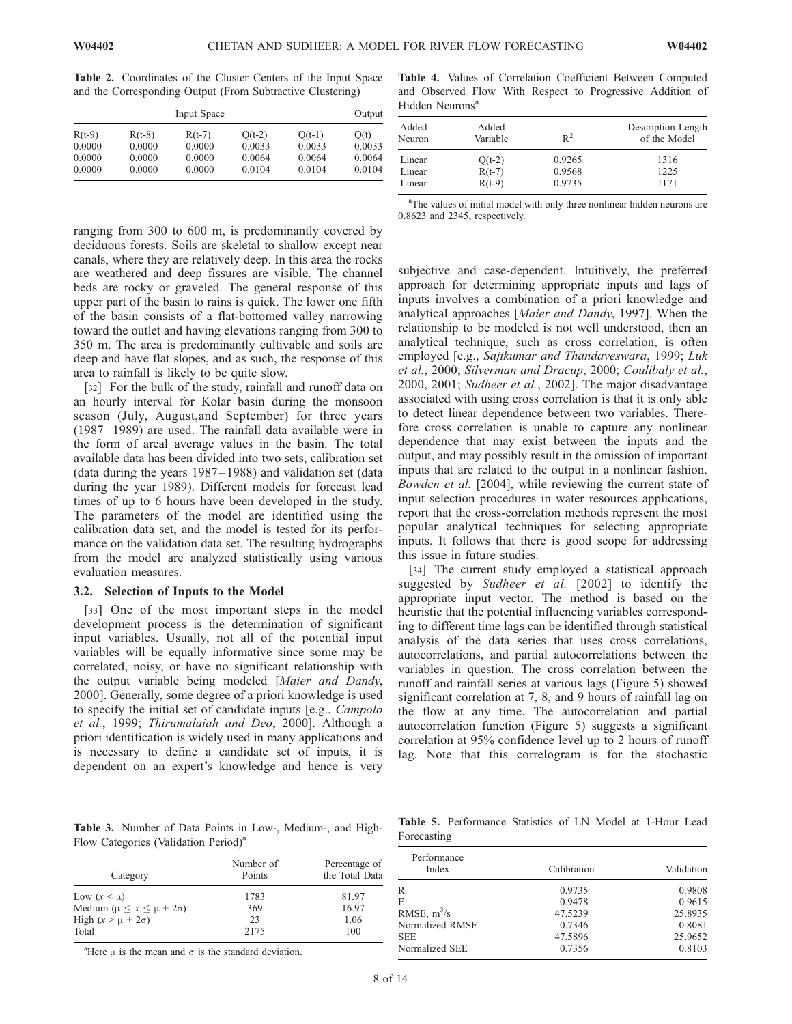Table 2. Coordinates of the Cluster Centers of the Input Space and the Corresponding Output (From Subtractive Clustering)

|                  |                  | Input Space      |                  |                  | Output           |
|------------------|------------------|------------------|------------------|------------------|------------------|
| $R(t-9)$         | $R(t-8)$         | $R(t-7)$         | $O(t-2)$         | $O(t-1)$         | O(t)             |
| 0.0000           | 0.0000           | 0.0000           | 0.0033           | 0.0033           | 0.0033           |
| 0.0000<br>0.0000 | 0.0000<br>0.0000 | 0.0000<br>0.0000 | 0.0064<br>0.0104 | 0.0064<br>0.0104 | 0.0064<br>0.0104 |

Table 4. Values of Correlation Coefficient Between Computed and Observed Flow With Respect to Progressive Addition of Hidden Neurons<sup>a</sup>

| Added<br>Neuron | Added<br>Variable | $R^2$  | Description Length<br>of the Model |
|-----------------|-------------------|--------|------------------------------------|
| Linear          | $Q(t-2)$          | 0.9265 | 1316                               |
| Linear          | $R(t-7)$          | 0.9568 | 1225                               |
| Linear          | $R(t-9)$          | 0.9735 | 1171                               |

ranging from 300 to 600 m, is predominantly covered by deciduous forests. Soils are skeletal to shallow except near canals, where they are relatively deep. In this area the rocks are weathered and deep fissures are visible. The channel beds are rocky or graveled. The general response of this upper part of the basin to rains is quick. The lower one fifth of the basin consists of a flat-bottomed valley narrowing toward the outlet and having elevations ranging from 300 to 350 m. The area is predominantly cultivable and soils are deep and have flat slopes, and as such, the response of this area to rainfall is likely to be quite slow.

[32] For the bulk of the study, rainfall and runoff data on an hourly interval for Kolar basin during the monsoon season (July, August,and September) for three years (1987 – 1989) are used. The rainfall data available were in the form of areal average values in the basin. The total available data has been divided into two sets, calibration set (data during the years  $1987 - 1988$ ) and validation set (data during the year 1989). Different models for forecast lead times of up to 6 hours have been developed in the study. The parameters of the model are identified using the calibration data set, and the model is tested for its performance on the validation data set. The resulting hydrographs from the model are analyzed statistically using various evaluation measures.

# 3.2. Selection of Inputs to the Model

[33] One of the most important steps in the model development process is the determination of significant input variables. Usually, not all of the potential input variables will be equally informative since some may be correlated, noisy, or have no significant relationship with the output variable being modeled [Maier and Dandy, 2000]. Generally, some degree of a priori knowledge is used to specify the initial set of candidate inputs [e.g., Campolo et al., 1999; Thirumalaiah and Deo, 2000]. Although a priori identification is widely used in many applications and is necessary to define a candidate set of inputs, it is dependent on an expert's knowledge and hence is very

<sup>a</sup>The values of initial model with only three nonlinear hidden neurons are 0.8623 and 2345, respectively.

subjective and case-dependent. Intuitively, the preferred approach for determining appropriate inputs and lags of inputs involves a combination of a priori knowledge and analytical approaches [Maier and Dandy, 1997]. When the relationship to be modeled is not well understood, then an analytical technique, such as cross correlation, is often employed [e.g., Sajikumar and Thandaveswara, 1999; Luk et al., 2000; Silverman and Dracup, 2000; Coulibaly et al., 2000, 2001; Sudheer et al., 2002]. The major disadvantage associated with using cross correlation is that it is only able to detect linear dependence between two variables. Therefore cross correlation is unable to capture any nonlinear dependence that may exist between the inputs and the output, and may possibly result in the omission of important inputs that are related to the output in a nonlinear fashion. Bowden et al. [2004], while reviewing the current state of input selection procedures in water resources applications, report that the cross-correlation methods represent the most popular analytical techniques for selecting appropriate inputs. It follows that there is good scope for addressing this issue in future studies.

[34] The current study employed a statistical approach suggested by Sudheer et al. [2002] to identify the appropriate input vector. The method is based on the heuristic that the potential influencing variables corresponding to different time lags can be identified through statistical analysis of the data series that uses cross correlations, autocorrelations, and partial autocorrelations between the variables in question. The cross correlation between the runoff and rainfall series at various lags (Figure 5) showed significant correlation at 7, 8, and 9 hours of rainfall lag on the flow at any time. The autocorrelation and partial autocorrelation function (Figure 5) suggests a significant correlation at 95% confidence level up to 2 hours of runoff lag. Note that this correlogram is for the stochastic

Table 3. Number of Data Points in Low-, Medium-, and High-Flow Categories (Validation Period)<sup>a</sup>

|                                            | Number of | Percentage of  |
|--------------------------------------------|-----------|----------------|
| Category                                   | Points    | the Total Data |
| Low $(x \leq \mu)$                         | 1783      | 81.97          |
| Medium ( $\mu \leq x \leq \mu + 2\sigma$ ) | 369       | 16.97          |
| High $(x > \mu + 2\sigma)$                 | 23        | 1.06           |
| Total                                      | 2175      | 100            |

<sup>a</sup>Here  $\mu$  is the mean and  $\sigma$  is the standard deviation.

Table 5. Performance Statistics of LN Model at 1-Hour Lead Forecasting

| Performance<br>Index | Calibration | Validation |
|----------------------|-------------|------------|
| R                    | 0.9735      | 0.9808     |
| E                    | 0.9478      | 0.9615     |
| RMSE, $m^3/s$        | 47.5239     | 25.8935    |
| Normalized RMSE      | 0.7346      | 0.8081     |
| <b>SEE</b>           | 47.5896     | 25.9652    |
| Normalized SEE       | 0.7356      | 0.8103     |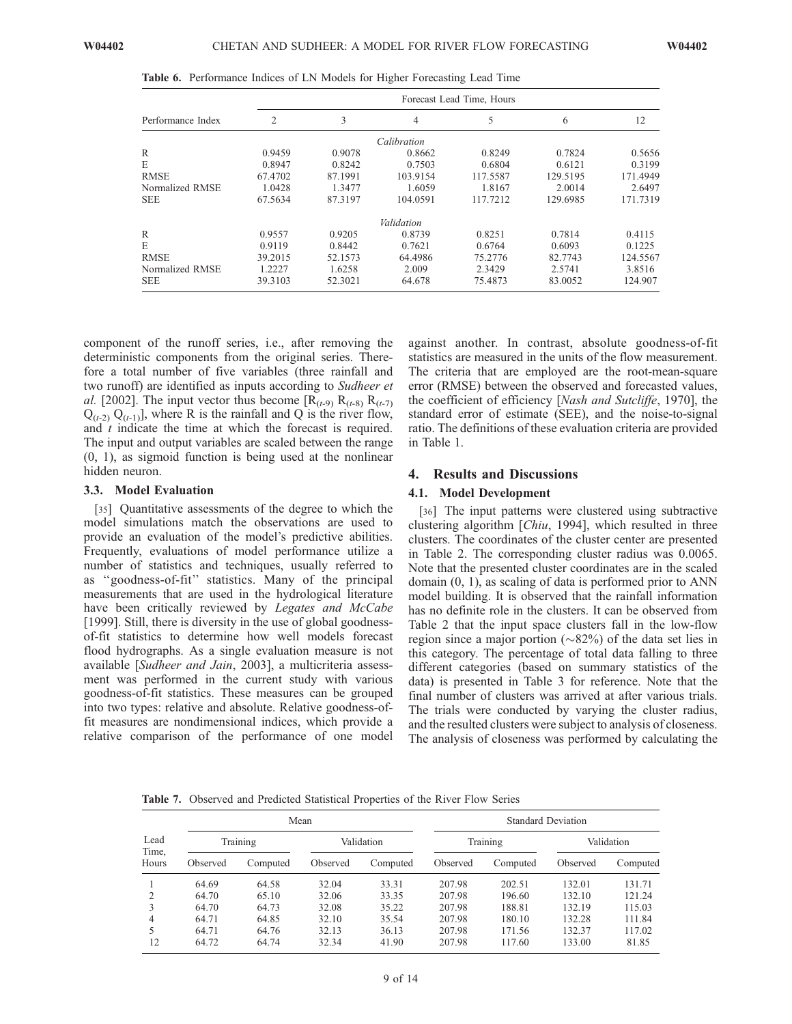|  | Table 6. Performance Indices of LN Models for Higher Forecasting Lead Time |  |  |  |  |  |  |  |  |  |
|--|----------------------------------------------------------------------------|--|--|--|--|--|--|--|--|--|
|--|----------------------------------------------------------------------------|--|--|--|--|--|--|--|--|--|

|                   | Forecast Lead Time, Hours |         |             |          |          |          |  |  |
|-------------------|---------------------------|---------|-------------|----------|----------|----------|--|--|
| Performance Index | $\overline{c}$            | 3       | 4           | 5        | 6        | 12       |  |  |
|                   |                           |         | Calibration |          |          |          |  |  |
| $\mathbb{R}$      | 0.9459                    | 0.9078  | 0.8662      | 0.8249   | 0.7824   | 0.5656   |  |  |
| E                 | 0.8947                    | 0.8242  | 0.7503      | 0.6804   | 0.6121   | 0.3199   |  |  |
| <b>RMSE</b>       | 67.4702                   | 87.1991 | 103.9154    | 117.5587 | 129.5195 | 171.4949 |  |  |
| Normalized RMSE   | 1.0428                    | 1.3477  | 1.6059      | 1.8167   | 2.0014   | 2.6497   |  |  |
| <b>SEE</b>        | 67.5634                   | 87.3197 | 104.0591    | 117.7212 | 129.6985 | 171.7319 |  |  |
|                   |                           |         | Validation  |          |          |          |  |  |
| R                 | 0.9557                    | 0.9205  | 0.8739      | 0.8251   | 0.7814   | 0.4115   |  |  |
| E                 | 0.9119                    | 0.8442  | 0.7621      | 0.6764   | 0.6093   | 0.1225   |  |  |
| <b>RMSE</b>       | 39.2015                   | 52.1573 | 64.4986     | 75.2776  | 82.7743  | 124.5567 |  |  |
| Normalized RMSE   | 1.2227                    | 1.6258  | 2.009       | 2.3429   | 2.5741   | 3.8516   |  |  |
| <b>SEE</b>        | 39.3103                   | 52.3021 | 64.678      | 75.4873  | 83.0052  | 124.907  |  |  |

component of the runoff series, i.e., after removing the deterministic components from the original series. Therefore a total number of five variables (three rainfall and two runoff) are identified as inputs according to Sudheer et al. [2002]. The input vector thus become  $[R_{(t-9)} R_{(t-8)} R_{(t-7)}]$  $Q_{(t-2)}$ ,  $Q_{(t-1)}$ , where R is the rainfall and Q is the river flow, and t indicate the time at which the forecast is required. The input and output variables are scaled between the range (0, 1), as sigmoid function is being used at the nonlinear hidden neuron.

#### 3.3. Model Evaluation

[35] Quantitative assessments of the degree to which the model simulations match the observations are used to provide an evaluation of the model's predictive abilities. Frequently, evaluations of model performance utilize a number of statistics and techniques, usually referred to as ''goodness-of-fit'' statistics. Many of the principal measurements that are used in the hydrological literature have been critically reviewed by Legates and McCabe [1999]. Still, there is diversity in the use of global goodnessof-fit statistics to determine how well models forecast flood hydrographs. As a single evaluation measure is not available [Sudheer and Jain, 2003], a multicriteria assessment was performed in the current study with various goodness-of-fit statistics. These measures can be grouped into two types: relative and absolute. Relative goodness-offit measures are nondimensional indices, which provide a relative comparison of the performance of one model

against another. In contrast, absolute goodness-of-fit statistics are measured in the units of the flow measurement. The criteria that are employed are the root-mean-square error (RMSE) between the observed and forecasted values, the coefficient of efficiency [Nash and Sutcliffe, 1970], the standard error of estimate (SEE), and the noise-to-signal ratio. The definitions of these evaluation criteria are provided in Table 1.

# 4. Results and Discussions

#### 4.1. Model Development

[36] The input patterns were clustered using subtractive clustering algorithm [Chiu, 1994], which resulted in three clusters. The coordinates of the cluster center are presented in Table 2. The corresponding cluster radius was 0.0065. Note that the presented cluster coordinates are in the scaled domain (0, 1), as scaling of data is performed prior to ANN model building. It is observed that the rainfall information has no definite role in the clusters. It can be observed from Table 2 that the input space clusters fall in the low-flow region since a major portion ( $\sim$ 82%) of the data set lies in this category. The percentage of total data falling to three different categories (based on summary statistics of the data) is presented in Table 3 for reference. Note that the final number of clusters was arrived at after various trials. The trials were conducted by varying the cluster radius, and the resulted clusters were subject to analysis of closeness. The analysis of closeness was performed by calculating the

Table 7. Observed and Predicted Statistical Properties of the River Flow Series

|                |          |          | Mean     |            | Standard Deviation |          |          |            |
|----------------|----------|----------|----------|------------|--------------------|----------|----------|------------|
| Lead           |          | Training |          | Validation |                    | Training |          | Validation |
| Time,<br>Hours | Observed | Computed | Observed | Computed   | Observed           | Computed | Observed | Computed   |
|                | 64.69    | 64.58    | 32.04    | 33.31      | 207.98             | 202.51   | 132.01   | 131.71     |
| 2              | 64.70    | 65.10    | 32.06    | 33.35      | 207.98             | 196.60   | 132.10   | 121.24     |
| 3              | 64.70    | 64.73    | 32.08    | 35.22      | 207.98             | 188.81   | 132.19   | 115.03     |
| 4              | 64.71    | 64.85    | 32.10    | 35.54      | 207.98             | 180.10   | 132.28   | 111.84     |
| 5              | 64.71    | 64.76    | 32.13    | 36.13      | 207.98             | 171.56   | 132.37   | 117.02     |
| 12             | 64.72    | 64.74    | 32.34    | 41.90      | 207.98             | 117.60   | 133.00   | 81.85      |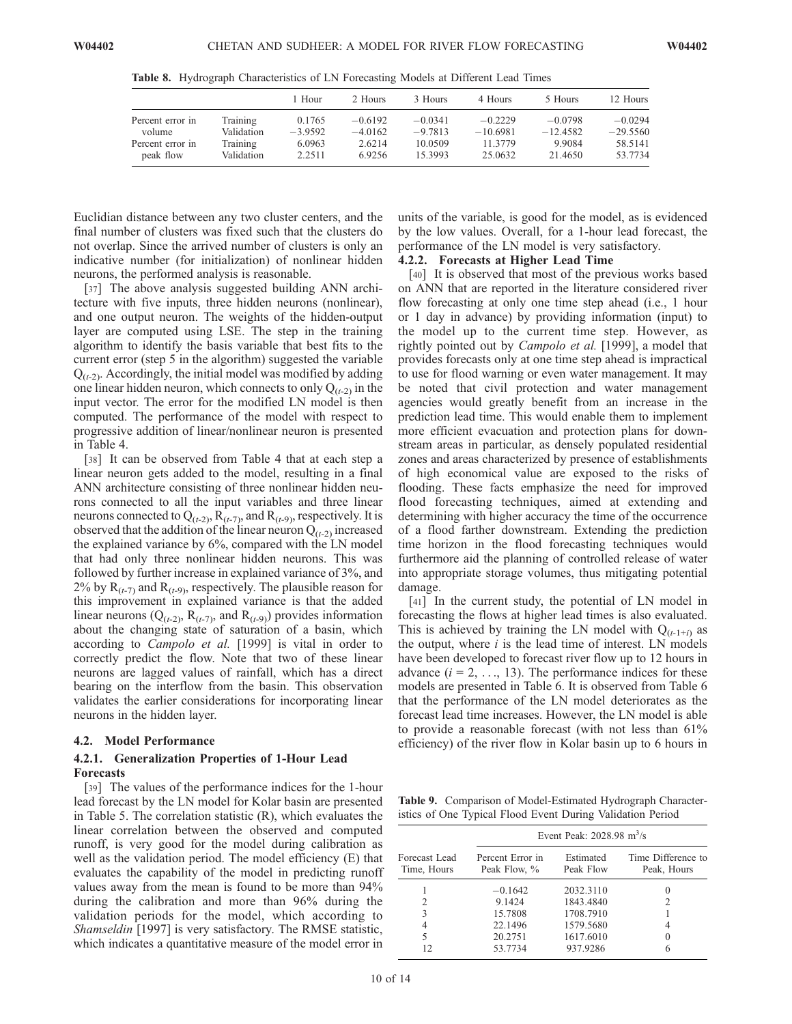|                                                |                                    | l Hour                        | 2 Hours                          | 3 Hours                           | 4 Hours                            | 5 Hours                           | 12 Hours                           |
|------------------------------------------------|------------------------------------|-------------------------------|----------------------------------|-----------------------------------|------------------------------------|-----------------------------------|------------------------------------|
| Percent error in<br>volume<br>Percent error in | Training<br>Validation<br>Training | 0.1765<br>$-3.9592$<br>6.0963 | $-0.6192$<br>$-4.0162$<br>2.6214 | $-0.0341$<br>$-9.7813$<br>10.0509 | $-0.2229$<br>$-10.6981$<br>11.3779 | $-0.0798$<br>$-12.4582$<br>9.9084 | $-0.0294$<br>$-29.5560$<br>58.5141 |
| peak flow                                      | Validation                         | 2.2511                        | 6.9256                           | 15 3993                           | 25.0632                            | 21.4650                           | 53.7734                            |

Table 8. Hydrograph Characteristics of LN Forecasting Models at Different Lead Times

Euclidian distance between any two cluster centers, and the final number of clusters was fixed such that the clusters do not overlap. Since the arrived number of clusters is only an indicative number (for initialization) of nonlinear hidden neurons, the performed analysis is reasonable.

[37] The above analysis suggested building ANN architecture with five inputs, three hidden neurons (nonlinear), and one output neuron. The weights of the hidden-output layer are computed using LSE. The step in the training algorithm to identify the basis variable that best fits to the current error (step 5 in the algorithm) suggested the variable  $Q_{(t-2)}$ . Accordingly, the initial model was modified by adding one linear hidden neuron, which connects to only  $Q_{(t-2)}$  in the input vector. The error for the modified LN model is then computed. The performance of the model with respect to progressive addition of linear/nonlinear neuron is presented in Table 4.

[38] It can be observed from Table 4 that at each step a linear neuron gets added to the model, resulting in a final ANN architecture consisting of three nonlinear hidden neurons connected to all the input variables and three linear neurons connected to  $Q_{(t-2)}$ ,  $R_{(t-7)}$ , and  $R_{(t-9)}$ , respectively. It is observed that the addition of the linear neuron  $Q_{(t-2)}$  increased the explained variance by 6%, compared with the LN model that had only three nonlinear hidden neurons. This was followed by further increase in explained variance of 3%, and 2% by  $R_{(t-7)}$  and  $R_{(t-9)}$ , respectively. The plausible reason for this improvement in explained variance is that the added linear neurons ( $Q_{(t-2)}$ ,  $R_{(t-7)}$ , and  $R_{(t-9)}$ ) provides information about the changing state of saturation of a basin, which according to Campolo et al. [1999] is vital in order to correctly predict the flow. Note that two of these linear neurons are lagged values of rainfall, which has a direct bearing on the interflow from the basin. This observation validates the earlier considerations for incorporating linear neurons in the hidden layer.

#### 4.2. Model Performance

# 4.2.1. Generalization Properties of 1-Hour Lead Forecasts

[39] The values of the performance indices for the 1-hour lead forecast by the LN model for Kolar basin are presented in Table 5. The correlation statistic (R), which evaluates the linear correlation between the observed and computed runoff, is very good for the model during calibration as well as the validation period. The model efficiency (E) that evaluates the capability of the model in predicting runoff values away from the mean is found to be more than 94% during the calibration and more than 96% during the validation periods for the model, which according to Shamseldin [1997] is very satisfactory. The RMSE statistic, which indicates a quantitative measure of the model error in

units of the variable, is good for the model, as is evidenced by the low values. Overall, for a 1-hour lead forecast, the performance of the LN model is very satisfactory.

# 4.2.2. Forecasts at Higher Lead Time

[40] It is observed that most of the previous works based on ANN that are reported in the literature considered river flow forecasting at only one time step ahead (i.e., 1 hour or 1 day in advance) by providing information (input) to the model up to the current time step. However, as rightly pointed out by *Campolo et al.* [1999], a model that provides forecasts only at one time step ahead is impractical to use for flood warning or even water management. It may be noted that civil protection and water management agencies would greatly benefit from an increase in the prediction lead time. This would enable them to implement more efficient evacuation and protection plans for downstream areas in particular, as densely populated residential zones and areas characterized by presence of establishments of high economical value are exposed to the risks of flooding. These facts emphasize the need for improved flood forecasting techniques, aimed at extending and determining with higher accuracy the time of the occurrence of a flood farther downstream. Extending the prediction time horizon in the flood forecasting techniques would furthermore aid the planning of controlled release of water into appropriate storage volumes, thus mitigating potential damage.

[41] In the current study, the potential of LN model in forecasting the flows at higher lead times is also evaluated. This is achieved by training the LN model with  $Q_{(t-1+i)}$  as the output, where  $i$  is the lead time of interest. LN models have been developed to forecast river flow up to 12 hours in advance  $(i = 2, \ldots, 13)$ . The performance indices for these models are presented in Table 6. It is observed from Table 6 that the performance of the LN model deteriorates as the forecast lead time increases. However, the LN model is able to provide a reasonable forecast (with not less than 61% efficiency) of the river flow in Kolar basin up to 6 hours in

Table 9. Comparison of Model-Estimated Hydrograph Characteristics of One Typical Flood Event During Validation Period

|                              | Event Peak: $2028.98 \text{ m}^3/\text{s}$ |                        |                                   |  |  |  |
|------------------------------|--------------------------------------------|------------------------|-----------------------------------|--|--|--|
| Forecast Lead<br>Time, Hours | Percent Error in<br>Peak Flow, %           | Estimated<br>Peak Flow | Time Difference to<br>Peak, Hours |  |  |  |
|                              | $-0.1642$                                  | 2032.3110              |                                   |  |  |  |
| 2                            | 9.1424                                     | 1843.4840              |                                   |  |  |  |
| 3                            | 15.7808                                    | 1708.7910              |                                   |  |  |  |
| 4                            | 22.1496                                    | 1579.5680              |                                   |  |  |  |
| 5                            | 20.2751                                    | 1617.6010              |                                   |  |  |  |
| 12                           | 53.7734                                    | 937.9286               |                                   |  |  |  |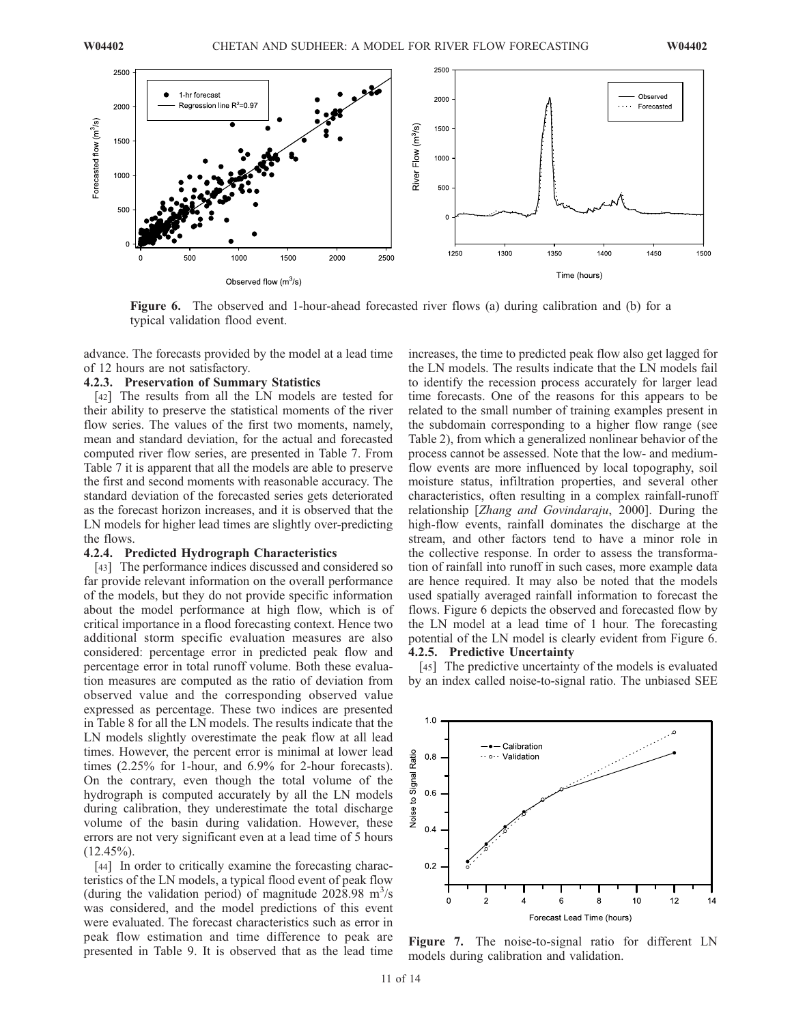

Figure 6. The observed and 1-hour-ahead forecasted river flows (a) during calibration and (b) for a typical validation flood event.

advance. The forecasts provided by the model at a lead time of 12 hours are not satisfactory.

# 4.2.3. Preservation of Summary Statistics

[42] The results from all the LN models are tested for their ability to preserve the statistical moments of the river flow series. The values of the first two moments, namely, mean and standard deviation, for the actual and forecasted computed river flow series, are presented in Table 7. From Table 7 it is apparent that all the models are able to preserve the first and second moments with reasonable accuracy. The standard deviation of the forecasted series gets deteriorated as the forecast horizon increases, and it is observed that the LN models for higher lead times are slightly over-predicting the flows.

#### 4.2.4. Predicted Hydrograph Characteristics

[43] The performance indices discussed and considered so far provide relevant information on the overall performance of the models, but they do not provide specific information about the model performance at high flow, which is of critical importance in a flood forecasting context. Hence two additional storm specific evaluation measures are also considered: percentage error in predicted peak flow and percentage error in total runoff volume. Both these evaluation measures are computed as the ratio of deviation from observed value and the corresponding observed value expressed as percentage. These two indices are presented in Table 8 for all the LN models. The results indicate that the LN models slightly overestimate the peak flow at all lead times. However, the percent error is minimal at lower lead times (2.25% for 1-hour, and 6.9% for 2-hour forecasts). On the contrary, even though the total volume of the hydrograph is computed accurately by all the LN models during calibration, they underestimate the total discharge volume of the basin during validation. However, these errors are not very significant even at a lead time of 5 hours  $(12.45\%)$ .

[44] In order to critically examine the forecasting characteristics of the LN models, a typical flood event of peak flow (during the validation period) of magnitude 2028.98 m<sup>3</sup>/s was considered, and the model predictions of this event were evaluated. The forecast characteristics such as error in peak flow estimation and time difference to peak are presented in Table 9. It is observed that as the lead time increases, the time to predicted peak flow also get lagged for the LN models. The results indicate that the LN models fail to identify the recession process accurately for larger lead time forecasts. One of the reasons for this appears to be related to the small number of training examples present in the subdomain corresponding to a higher flow range (see Table 2), from which a generalized nonlinear behavior of the process cannot be assessed. Note that the low- and mediumflow events are more influenced by local topography, soil moisture status, infiltration properties, and several other characteristics, often resulting in a complex rainfall-runoff relationship [Zhang and Govindaraju, 2000]. During the high-flow events, rainfall dominates the discharge at the stream, and other factors tend to have a minor role in the collective response. In order to assess the transformation of rainfall into runoff in such cases, more example data are hence required. It may also be noted that the models used spatially averaged rainfall information to forecast the flows. Figure 6 depicts the observed and forecasted flow by the LN model at a lead time of 1 hour. The forecasting potential of the LN model is clearly evident from Figure 6. 4.2.5. Predictive Uncertainty

[45] The predictive uncertainty of the models is evaluated by an index called noise-to-signal ratio. The unbiased SEE



Figure 7. The noise-to-signal ratio for different LN models during calibration and validation.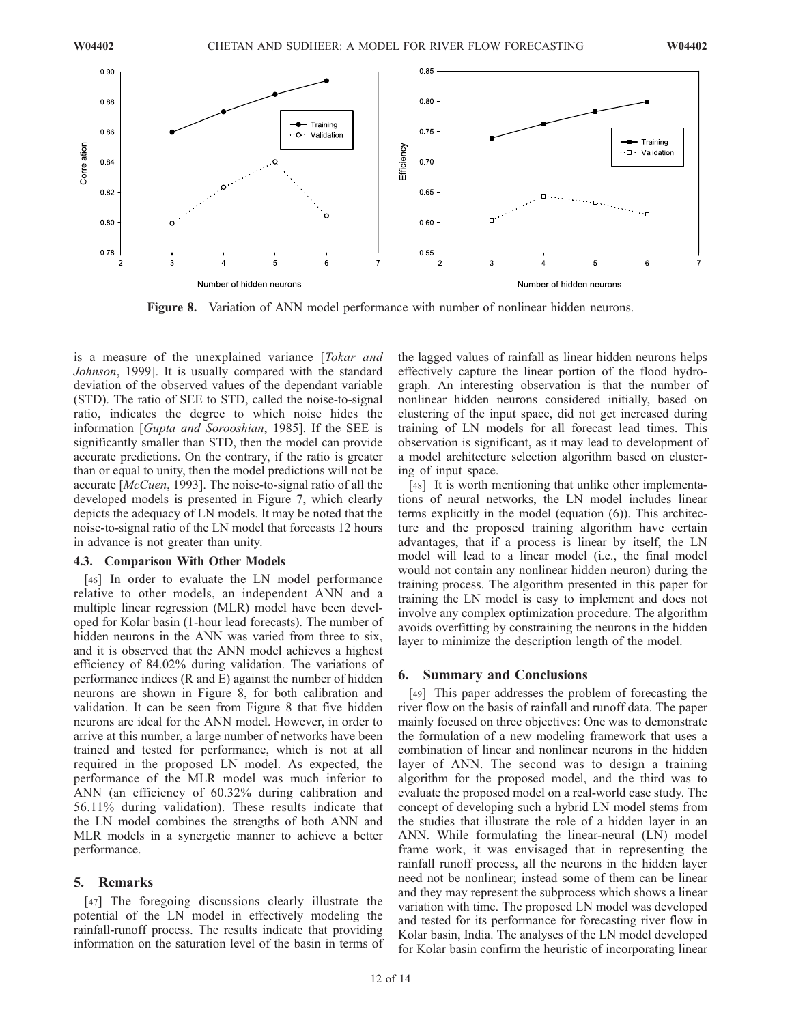

Figure 8. Variation of ANN model performance with number of nonlinear hidden neurons.

is a measure of the unexplained variance [Tokar and Johnson, 1999]. It is usually compared with the standard deviation of the observed values of the dependant variable (STD). The ratio of SEE to STD, called the noise-to-signal ratio, indicates the degree to which noise hides the information [Gupta and Sorooshian, 1985]. If the SEE is significantly smaller than STD, then the model can provide accurate predictions. On the contrary, if the ratio is greater than or equal to unity, then the model predictions will not be accurate [McCuen, 1993]. The noise-to-signal ratio of all the developed models is presented in Figure 7, which clearly depicts the adequacy of LN models. It may be noted that the noise-to-signal ratio of the LN model that forecasts 12 hours in advance is not greater than unity.

# 4.3. Comparison With Other Models

[46] In order to evaluate the LN model performance relative to other models, an independent ANN and a multiple linear regression (MLR) model have been developed for Kolar basin (1-hour lead forecasts). The number of hidden neurons in the ANN was varied from three to six, and it is observed that the ANN model achieves a highest efficiency of 84.02% during validation. The variations of performance indices (R and E) against the number of hidden neurons are shown in Figure 8, for both calibration and validation. It can be seen from Figure 8 that five hidden neurons are ideal for the ANN model. However, in order to arrive at this number, a large number of networks have been trained and tested for performance, which is not at all required in the proposed LN model. As expected, the performance of the MLR model was much inferior to ANN (an efficiency of 60.32% during calibration and 56.11% during validation). These results indicate that the LN model combines the strengths of both ANN and MLR models in a synergetic manner to achieve a better performance.

### 5. Remarks

[47] The foregoing discussions clearly illustrate the potential of the LN model in effectively modeling the rainfall-runoff process. The results indicate that providing information on the saturation level of the basin in terms of

the lagged values of rainfall as linear hidden neurons helps effectively capture the linear portion of the flood hydrograph. An interesting observation is that the number of nonlinear hidden neurons considered initially, based on clustering of the input space, did not get increased during training of LN models for all forecast lead times. This observation is significant, as it may lead to development of a model architecture selection algorithm based on clustering of input space.

[48] It is worth mentioning that unlike other implementations of neural networks, the LN model includes linear terms explicitly in the model (equation (6)). This architecture and the proposed training algorithm have certain advantages, that if a process is linear by itself, the LN model will lead to a linear model (i.e., the final model would not contain any nonlinear hidden neuron) during the training process. The algorithm presented in this paper for training the LN model is easy to implement and does not involve any complex optimization procedure. The algorithm avoids overfitting by constraining the neurons in the hidden layer to minimize the description length of the model.

# 6. Summary and Conclusions

[49] This paper addresses the problem of forecasting the river flow on the basis of rainfall and runoff data. The paper mainly focused on three objectives: One was to demonstrate the formulation of a new modeling framework that uses a combination of linear and nonlinear neurons in the hidden layer of ANN. The second was to design a training algorithm for the proposed model, and the third was to evaluate the proposed model on a real-world case study. The concept of developing such a hybrid LN model stems from the studies that illustrate the role of a hidden layer in an ANN. While formulating the linear-neural (LN) model frame work, it was envisaged that in representing the rainfall runoff process, all the neurons in the hidden layer need not be nonlinear; instead some of them can be linear and they may represent the subprocess which shows a linear variation with time. The proposed LN model was developed and tested for its performance for forecasting river flow in Kolar basin, India. The analyses of the LN model developed for Kolar basin confirm the heuristic of incorporating linear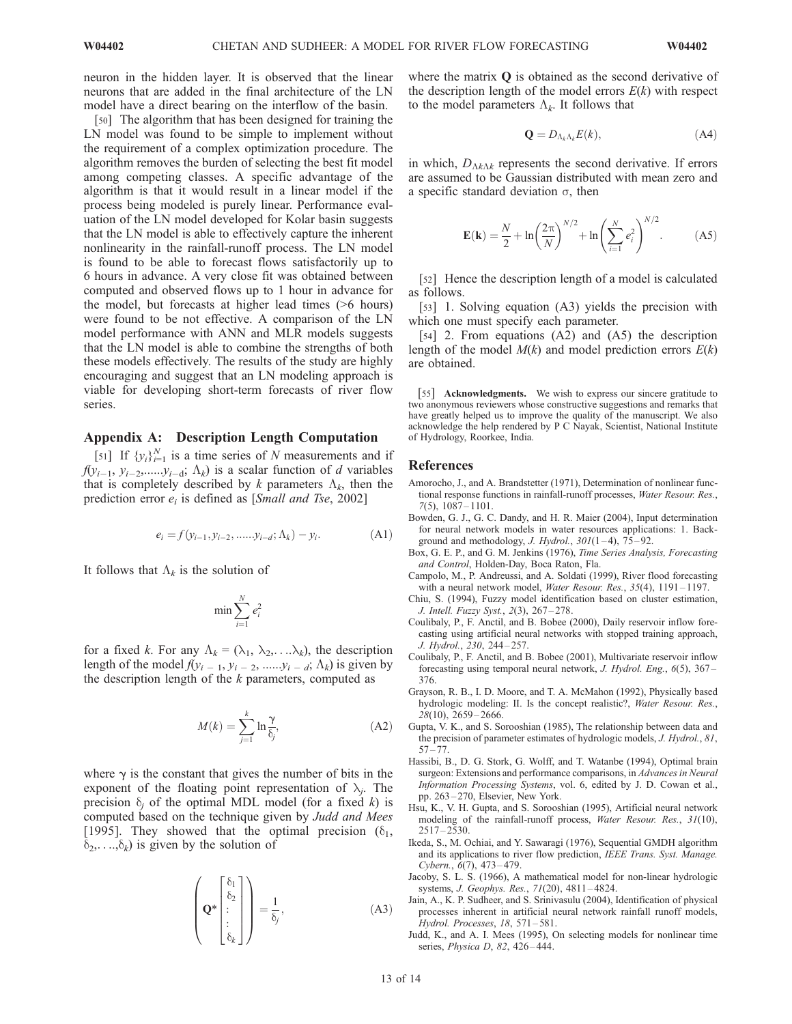neuron in the hidden layer. It is observed that the linear neurons that are added in the final architecture of the LN model have a direct bearing on the interflow of the basin.

[50] The algorithm that has been designed for training the LN model was found to be simple to implement without the requirement of a complex optimization procedure. The algorithm removes the burden of selecting the best fit model among competing classes. A specific advantage of the algorithm is that it would result in a linear model if the process being modeled is purely linear. Performance evaluation of the LN model developed for Kolar basin suggests that the LN model is able to effectively capture the inherent nonlinearity in the rainfall-runoff process. The LN model is found to be able to forecast flows satisfactorily up to 6 hours in advance. A very close fit was obtained between computed and observed flows up to 1 hour in advance for the model, but forecasts at higher lead times (>6 hours) were found to be not effective. A comparison of the LN model performance with ANN and MLR models suggests that the LN model is able to combine the strengths of both these models effectively. The results of the study are highly encouraging and suggest that an LN modeling approach is viable for developing short-term forecasts of river flow series.

# Appendix A: Description Length Computation

[51] If  $\{y_i\}_{i=1}^N$  is a time series of N measurements and if  $f(y_{i-1}, y_{i-2}, \ldots, y_{i-d}; \Lambda_k)$  is a scalar function of d variables that is completely described by  $k$  parameters  $\Lambda_k$ , then the prediction error  $e_i$  is defined as [*Small and Tse*, 2002]

$$
e_i = f(y_{i-1}, y_{i-2}, \dots, y_{i-d}; \Lambda_k) - y_i.
$$
 (A1)

It follows that  $\Lambda_k$  is the solution of

$$
\min \sum_{i=1}^N e_i^2
$$

for a fixed k. For any  $\Lambda_k = (\lambda_1, \lambda_2, \ldots, \lambda_k)$ , the description length of the model  $f(y_{i} = 1, y_{i} = 2, \dots y_{i} = d; \Lambda_{k}$ ) is given by the description length of the  $k$  parameters, computed as

$$
M(k) = \sum_{j=1}^{k} \ln \frac{\gamma}{\delta_j},
$$
 (A2)

where  $\gamma$  is the constant that gives the number of bits in the exponent of the floating point representation of  $\lambda_j$ . The precision  $\delta_i$  of the optimal MDL model (for a fixed k) is computed based on the technique given by Judd and Mees [1995]. They showed that the optimal precision  $(\delta_1,$  $\delta_2, \ldots, \delta_k$ ) is given by the solution of

$$
\left(\mathbf{Q}^*\begin{bmatrix} \delta_1 \\ \delta_2 \\ \vdots \\ \delta_k \end{bmatrix}\right) = \frac{1}{\delta_j},\tag{A3}
$$

where the matrix  $Q$  is obtained as the second derivative of the description length of the model errors  $E(k)$  with respect to the model parameters  $\Lambda_k$ . It follows that

$$
\mathbf{Q} = D_{\Lambda_k \Lambda_k} E(k),\tag{A4}
$$

in which,  $D_{\Lambda k\Lambda k}$  represents the second derivative. If errors are assumed to be Gaussian distributed with mean zero and a specific standard deviation  $\sigma$ , then

$$
\mathbf{E}(\mathbf{k}) = \frac{N}{2} + \ln \left(\frac{2\pi}{N}\right)^{N/2} + \ln \left(\sum_{i=1}^{N} e_i^2\right)^{N/2}.
$$
 (A5)

[52] Hence the description length of a model is calculated as follows.

[53] 1. Solving equation (A3) yields the precision with which one must specify each parameter.

[54] 2. From equations (A2) and (A5) the description length of the model  $M(k)$  and model prediction errors  $E(k)$ are obtained.

[55] **Acknowledgments.** We wish to express our sincere gratitude to two anonymous reviewers whose constructive suggestions and remarks that have greatly helped us to improve the quality of the manuscript. We also acknowledge the help rendered by P C Nayak, Scientist, National Institute of Hydrology, Roorkee, India.

#### References

- Amorocho, J., and A. Brandstetter (1971), Determination of nonlinear functional response functions in rainfall-runoff processes, Water Resour. Res.,  $7(5)$ ,  $1087 - 1101$ .
- Bowden, G. J., G. C. Dandy, and H. R. Maier (2004), Input determination for neural network models in water resources applications: 1. Background and methodology, J. Hydrol.,  $301(1-4)$ ,  $75-92$ .
- Box, G. E. P., and G. M. Jenkins (1976), Time Series Analysis, Forecasting and Control, Holden-Day, Boca Raton, Fla.
- Campolo, M., P. Andreussi, and A. Soldati (1999), River flood forecasting with a neural network model, Water Resour. Res.,  $35(4)$ ,  $1191 - 1197$ .
- Chiu, S. (1994), Fuzzy model identification based on cluster estimation, J. Intell. Fuzzy Syst., 2(3), 267 – 278.
- Coulibaly, P., F. Anctil, and B. Bobee (2000), Daily reservoir inflow forecasting using artificial neural networks with stopped training approach, J. Hydrol., 230, 244 – 257.
- Coulibaly, P., F. Anctil, and B. Bobee (2001), Multivariate reservoir inflow forecasting using temporal neural network, J. Hydrol. Eng., 6(5), 367 – 376.
- Grayson, R. B., I. D. Moore, and T. A. McMahon (1992), Physically based hydrologic modeling: II. Is the concept realistic?, Water Resour. Res., 28(10), 2659 – 2666.
- Gupta, V. K., and S. Sorooshian (1985), The relationship between data and the precision of parameter estimates of hydrologic models, J. Hydrol., 81,  $57 - 77$
- Hassibi, B., D. G. Stork, G. Wolff, and T. Watanbe (1994), Optimal brain surgeon: Extensions and performance comparisons, in Advances in Neural Information Processing Systems, vol. 6, edited by J. D. Cowan et al., pp. 263 – 270, Elsevier, New York.
- Hsu, K., V. H. Gupta, and S. Sorooshian (1995), Artificial neural network modeling of the rainfall-runoff process, Water Resour. Res., 31(10),  $2517 - 2530$
- Ikeda, S., M. Ochiai, and Y. Sawaragi (1976), Sequential GMDH algorithm and its applications to river flow prediction, IEEE Trans. Syst. Manage. Cybern., 6(7), 473-479.
- Jacoby, S. L. S. (1966), A mathematical model for non-linear hydrologic systems, J. Geophys. Res., 71(20), 4811 – 4824.
- Jain, A., K. P. Sudheer, and S. Srinivasulu (2004), Identification of physical processes inherent in artificial neural network rainfall runoff models, Hydrol. Processes, 18, 571 – 581.
- Judd, K., and A. I. Mees (1995), On selecting models for nonlinear time series, Physica D, 82, 426-444.